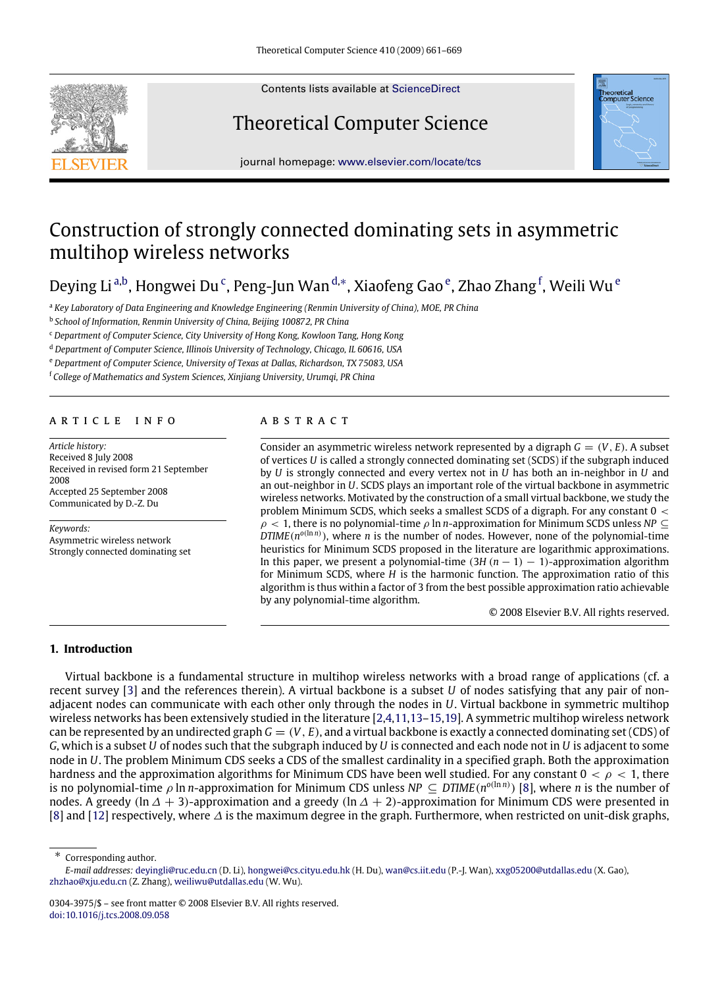

Contents lists available at [ScienceDirect](http://www.elsevier.com/locate/tcs)

# Theoretical Computer Science



journal homepage: [www.elsevier.com/locate/tcs](http://www.elsevier.com/locate/tcs)

# Construction of strongly connected dominating sets in asymmetric multihop wireless networks

Deying Li <sup>[a,](#page-0-0)[b](#page-0-1)</sup>, Hongwei Du <sup>[c](#page-0-2)</sup>, Peng-Jun Wan <sup>[d,](#page-0-3)</sup>\*, Xiaof[e](#page-0-5)ng Gao <sup>e</sup>, Zhao Zhang <sup>[f](#page-0-6)</sup>, Weili Wu <sup>e</sup>

<span id="page-0-0"></span><sup>a</sup> *Key Laboratory of Data Engineering and Knowledge Engineering (Renmin University of China), MOE, PR China*

<span id="page-0-1"></span>b *School of Information, Renmin University of China, Beijing 100872, PR China*

<span id="page-0-2"></span><sup>c</sup> *Department of Computer Science, City University of Hong Kong, Kowloon Tang, Hong Kong*

<span id="page-0-3"></span><sup>d</sup> *Department of Computer Science, Illinois University of Technology, Chicago, IL 60616, USA*

<span id="page-0-5"></span><sup>e</sup> *Department of Computer Science, University of Texas at Dallas, Richardson, TX 75083, USA*

<span id="page-0-6"></span><sup>f</sup> *College of Mathematics and System Sciences, Xinjiang University, Urumqi, PR China*

# a r t i c l e i n f o

*Article history:* Received 8 July 2008 Received in revised form 21 September 2008 Accepted 25 September 2008 Communicated by D.-Z. Du

*Keywords:* Asymmetric wireless network Strongly connected dominating set

# a b s t r a c t

Consider an asymmetric wireless network represented by a digraph  $G = (V, E)$ . A subset of vertices *U* is called a strongly connected dominating set (SCDS) if the subgraph induced by *U* is strongly connected and every vertex not in *U* has both an in-neighbor in *U* and an out-neighbor in *U*. SCDS plays an important role of the virtual backbone in asymmetric wireless networks. Motivated by the construction of a small virtual backbone, we study the problem Minimum SCDS, which seeks a smallest SCDS of a digraph. For any constant  $0 <$  $\rho$  < 1, there is no polynomial-time  $\rho$  ln *n*-approximation for Minimum SCDS unless *NP* ⊆  $DTIME(n^{o(\ln n)})$ , where *n* is the number of nodes. However, none of the polynomial-time heuristics for Minimum SCDS proposed in the literature are logarithmic approximations. In this paper, we present a polynomial-time  $(3H (n - 1) - 1)$ -approximation algorithm for Minimum SCDS, where *H* is the harmonic function. The approximation ratio of this algorithm is thus within a factor of 3 from the best possible approximation ratio achievable by any polynomial-time algorithm.

© 2008 Elsevier B.V. All rights reserved.

# **1. Introduction**

Virtual backbone is a fundamental structure in multihop wireless networks with a broad range of applications (cf. a recent survey [\[3\]](#page-7-0) and the references therein). A virtual backbone is a subset *U* of nodes satisfying that any pair of nonadjacent nodes can communicate with each other only through the nodes in *U*. Virtual backbone in symmetric multihop wireless networks has been extensively studied in the literature [\[2](#page-7-1)[,4,](#page-7-2)[11](#page-7-3)[,13–](#page-7-4)[15](#page-7-5)[,19\]](#page-8-0). A symmetric multihop wireless network can be represented by an undirected graph  $G = (V, E)$ , and a virtual backbone is exactly a connected dominating set (CDS) of *G*, which is a subset *U* of nodes such that the subgraph induced by *U* is connected and each node not in *U* is adjacent to some node in *U*. The problem Minimum CDS seeks a CDS of the smallest cardinality in a specified graph. Both the approximation hardness and the approximation algorithms for Minimum CDS have been well studied. For any constant  $0 < \rho < 1$ , there is no polynomial-time  $\rho$  ln *n*-approximation for Minimum CDS unless  $NP \subseteq DTIME(n^{o(\ln n)})$  [\[8\]](#page-7-6), where *n* is the number of nodes. A greedy (ln  $\Delta + 3$ )-approximation and a greedy (ln  $\Delta + 2$ )-approximation for Minimum CDS were presented in [\[8\]](#page-7-6) and [\[12\]](#page-7-7) respectively, where ∆ is the maximum degree in the graph. Furthermore, when restricted on unit-disk graphs,

<span id="page-0-4"></span>∗ Corresponding author.

*E-mail addresses:* [deyingli@ruc.edu.cn](mailto:deyingli@ruc.edu.cn) (D. Li), [hongwei@cs.cityu.edu.hk](mailto:hongwei@cs.cityu.edu.hk) (H. Du), [wan@cs.iit.edu](mailto:wan@cs.iit.edu) (P.-J. Wan), [xxg05200@utdallas.edu](mailto:xxg05200@utdallas.edu) (X. Gao), [zhzhao@xju.edu.cn](mailto:zhzhao@xju.edu.cn) (Z. Zhang), [weiliwu@utdallas.edu](mailto:weiliwu@utdallas.edu) (W. Wu).

<sup>0304-3975/\$ –</sup> see front matter © 2008 Elsevier B.V. All rights reserved. [doi:10.1016/j.tcs.2008.09.058](http://dx.doi.org/10.1016/j.tcs.2008.09.058)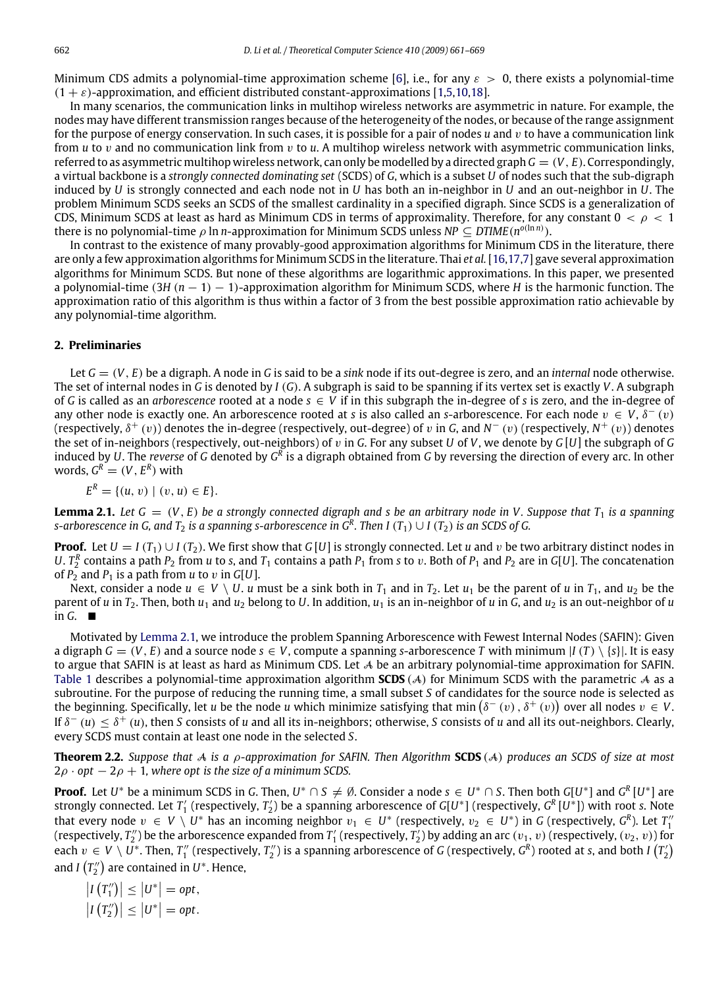Minimum CDS admits a polynomial-time approximation scheme [\[6\]](#page-7-8), i.e., for any  $\varepsilon > 0$ , there exists a polynomial-time  $(1 + \varepsilon)$ -approximation, and efficient distributed constant-approximations [\[1,](#page-7-9)[5](#page-7-10)[,10](#page-7-11)[,18\]](#page-8-1).

In many scenarios, the communication links in multihop wireless networks are asymmetric in nature. For example, the nodes may have different transmission ranges because of the heterogeneity of the nodes, or because of the range assignment for the purpose of energy conservation. In such cases, it is possible for a pair of nodes  $u$  and  $v$  to have a communication link from *u* to v and no communication link from v to *u*. A multihop wireless network with asymmetric communication links, referred to as asymmetric multihop wireless network, can only be modelled by a directed graph *G* = (*V*, *E*). Correspondingly, a virtual backbone is a *strongly connected dominating set* (SCDS) of *G*, which is a subset *U* of nodes such that the sub-digraph induced by *U* is strongly connected and each node not in *U* has both an in-neighbor in *U* and an out-neighbor in *U*. The problem Minimum SCDS seeks an SCDS of the smallest cardinality in a specified digraph. Since SCDS is a generalization of CDS, Minimum SCDS at least as hard as Minimum CDS in terms of approximality. Therefore, for any constant  $0 < \rho < 1$ there is no polynomial-time  $\rho$  ln *n*-approximation for Minimum SCDS unless NP  $\subseteq$  DTIME( $n^{o(\ln n)}$ ).

In contrast to the existence of many provably-good approximation algorithms for Minimum CDS in the literature, there are only a few approximation algorithms for Minimum SCDS in the literature. Thai *et al.* [\[16,](#page-7-12)[17](#page-8-2)[,7\]](#page-7-13) gave several approximation algorithms for Minimum SCDS. But none of these algorithms are logarithmic approximations. In this paper, we presented a polynomial-time (3*H* (*n* − 1) − 1)-approximation algorithm for Minimum SCDS, where *H* is the harmonic function. The approximation ratio of this algorithm is thus within a factor of 3 from the best possible approximation ratio achievable by any polynomial-time algorithm.

#### **2. Preliminaries**

Let *G* = (*V*, *E*) be a digraph. A node in *G* is said to be a *sink* node if its out-degree is zero, and an *internal* node otherwise. The set of internal nodes in *G* is denoted by *I* (*G*). A subgraph is said to be spanning if its vertex set is exactly *V*. A subgraph of G is called as an *arborescence* rooted at a node  $s \in V$  if in this subgraph the in-degree of s is zero, and the in-degree of any other node is exactly one. An arborescence rooted at *s* is also called an *s*-arborescence. For each node  $v \in V$ ,  $\delta^-(v)$ (respectively, δ<sup>+</sup> (v)) denotes the in-degree (respectively, out-degree) of v in *G*, and *N*<sup>−</sup> (v) (respectively, *N*<sup>+</sup> (v)) denotes the set of in-neighbors (respectively, out-neighbors) of v in *G*. For any subset *U* of *V*, we denote by *G* [*U*] the subgraph of *G* induced by *U*. The *reverse* of G denoted by G<sup>R</sup> is a digraph obtained from G by reversing the direction of every arc. In other words,  $G^R = (V, E^R)$  with

$$
E^R = \{(u, v) \mid (v, u) \in E\}.
$$

<span id="page-1-0"></span>**Lemma 2.1.** Let  $G = (V, E)$  be a strongly connected digraph and s be an arbitrary node in V. Suppose that  $T_1$  is a spanning  $s$ -arborescence in G, and  $T_2$  is a spanning  $s$ -arborescence in  $G^R$ . Then I  $(T_1)\cup I$   $(T_2)$  is an SCDS of G.

**Proof.** Let  $U = I(T_1) \cup I(T_2)$ . We first show that  $G[U]$  is strongly connected. Let *u* and *v* be two arbitrary distinct nodes in *U*.  $T_2^R$  contains a path  $P_2$  from *u* to *s*, and  $T_1$  contains a path  $P_1$  from *s* to *v*. Both of  $P_1$  and  $P_2$  are in *G*[*U*]. The concatenation of  $P_2$  and  $P_1$  is a path from *u* to *v* in  $G[U]$ .

Next, consider a node  $u \in V \setminus U$ . *u* must be a sink both in  $T_1$  and in  $T_2$ . Let  $u_1$  be the parent of *u* in  $T_1$ , and  $u_2$  be the parent of *u* in  $T_2$ . Then, both  $u_1$  and  $u_2$  belong to *U*. In addition,  $u_1$  is an in-neighbor of *u* in *G*, and  $u_2$  is an out-neighbor of *u* in  $G$ .  $\blacksquare$ 

Motivated by [Lemma](#page-1-0) [2.1,](#page-1-0) we introduce the problem Spanning Arborescence with Fewest Internal Nodes (SAFIN): Given a digraph  $G = (V, E)$  and a source node  $s \in V$ , compute a spanning *s*-arborescence *T* with minimum  $|I(T) \setminus \{s\}|$ . It is easy to argue that SAFIN is at least as hard as Minimum CDS. Let A be an arbitrary polynomial-time approximation for SAFIN. [Table](#page-2-0) [1](#page-2-0) describes a polynomial-time approximation algorithm **SCDS** (A) for Minimum SCDS with the parametric A as a subroutine. For the purpose of reducing the running time, a small subset *S* of candidates for the source node is selected as the beginning. Specifically, let *u* be the node *u* which minimize satisfying that min  $(\delta^-(v), \delta^+(v))$  over all nodes  $v \in V$ . If  $\delta^-(u) \leq \delta^+(u)$ , then *S* consists of *u* and all its in-neighbors; otherwise, *S* consists of *u* and all its out-neighbors. Clearly, every SCDS must contain at least one node in the selected *S*.

<span id="page-1-1"></span>**Theorem 2.2.** *Suppose that* A *is a* ρ*-approximation for SAFIN. Then Algorithm* **SCDS** (A) *produces an SCDS of size at most*  $2\rho \cdot \rho t - 2\rho + 1$ , where opt is the size of a minimum SCDS.

**Proof.** Let *U*<sup>\*</sup> be a minimum SCDS in *G*. Then, *U*<sup>\*</sup>  $\cap$  *S*  $\neq$  Ø. Consider a node *s*  $\in$  *U*<sup>\*</sup>  $\cap$  *S*. Then both *G*[*U*<sup>\*</sup>] and *G*<sup>R</sup> [*U*<sup>\*</sup>] are strongly connected. Let *T* 0 (respectively, *T* 0 ) be a spanning arborescence of *G*[*U* ∗ ] (respectively, *G R* [*U* ∗ ]) with root *s*. Note that every node  $v \in V \setminus U^*$  has an incoming neighbor  $v_1 \in U^*$  (respectively,  $v_2 \in U^*$ ) in G (respectively,  $G^R$ ). Let  $T_1^{\prime\prime}$  (respectively,  $T_2^{\prime\prime}$ ) be the arborescence expanded from  $T_1^{\prime}$  (respectively each  $v\in V\setminus U^*$ . Then,  $T''_1$  (respectively,  $T''_2$ ) is a spanning arborescence of *G* (respectively,  $G^R$ ) rooted at *s*, and both *I*  $(T'_2)$ and *I*  $(T_2'')$  are contained in  $U^*$ . Hence,

$$
\left|I(T''_1)\right| \leq \left|U^*\right| = opt,
$$
  

$$
\left|I(T''_2)\right| \leq \left|U^*\right| = opt.
$$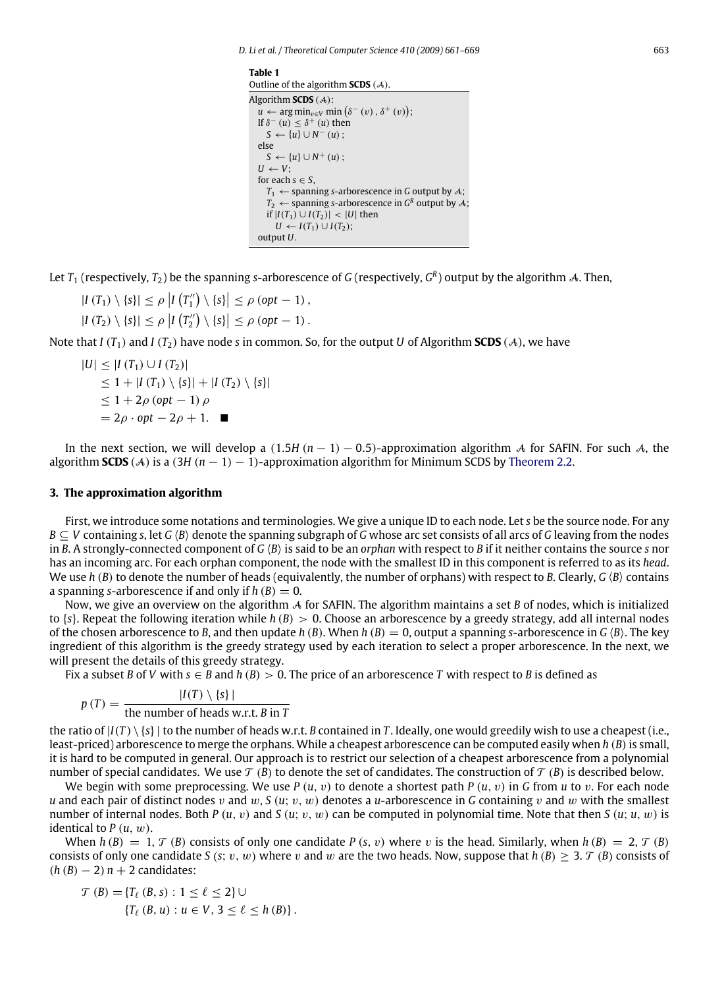*D. Li et al. / Theoretical Computer Science 410 (2009) 661–669* 663

<span id="page-2-0"></span>**Table 1** Outline of the algorithm **SCDS** (A). Algorithm **SCDS** (A):  $u \leftarrow \arg \min_{v \in V} \min (\delta^-(v), \delta^+(v));$ If  $\delta^-(u) \leq \delta^+(u)$  then  $S \leftarrow \{u\} \cup N^-(u)$ ; else  $S \leftarrow \{u\} \cup N^+(u)$ ;  $U \leftarrow V$ : for each  $s \in S$ ,  $T_1 \leftarrow$  spanning *s*-arborescence in *G* output by *A*;  $T_2 \leftarrow$  spanning *s*-arborescence in  $G^R$  output by A; *if*  $|I(T_1) ∪ I(T_2)|$  <  $|U|$  then *U* ← *I*(*T*<sub>1</sub>) ∪ *I*(*T*<sub>2</sub>); output *U*.

Let  $T_1$  (respectively,  $T_2$ ) be the spanning s-arborescence of  $G$  (respectively,  $G^R$ ) output by the algorithm A. Then,

 $|I(T_1) \setminus \{s\}| \le \rho |I(T''_1) \setminus \{s\}| \le \rho (opt - 1),$ 

 $|I(T_2) \setminus \{s\}| \le \rho |I(T_2'') \setminus \{s\}| \le \rho (opt - 1)$ .

Note that *I* ( $T_1$ ) and *I* ( $T_2$ ) have node *s* in common. So, for the output *U* of Algorithm **SCDS** ( $A$ ), we have

$$
|U| \leq |I(T_1) \cup I(T_2)|
$$
  
\n
$$
\leq 1 + |I(T_1) \setminus \{s\}| + |I(T_2) \setminus \{s\}|
$$
  
\n
$$
\leq 1 + 2\rho \text{ (opt - 1) } \rho
$$
  
\n
$$
= 2\rho \cdot \text{ opt} - 2\rho + 1.
$$

In the next section, we will develop a  $(1.5H (n-1) - 0.5)$ -approximation algorithm A for SAFIN. For such A, the algorithm **SCDS** (A) is a (3*H* (*n* − 1) − 1)-approximation algorithm for Minimum SCDS by [Theorem](#page-1-1) [2.2.](#page-1-1)

# **3. The approximation algorithm**

First, we introduce some notations and terminologies. We give a unique ID to each node. Let *s* be the source node. For any *B* ⊂ *V* containing *s*, let *G*  $\langle B \rangle$  denote the spanning subgraph of *G* whose arc set consists of all arcs of *G* leaving from the nodes in *B*. A strongly-connected component of *G*  $\langle B \rangle$  is said to be an *orphan* with respect to *B* if it neither contains the source *s* nor has an incoming arc. For each orphan component, the node with the smallest ID in this component is referred to as its *head*. We use  $h$  ( $B$ ) to denote the number of heads (equivalently, the number of orphans) with respect to  $B$ . Clearly,  $G$   $\langle B \rangle$  contains a spanning *s*-arborescence if and only if  $h(B) = 0$ .

Now, we give an overview on the algorithm A for SAFIN. The algorithm maintains a set *B* of nodes, which is initialized to {*s*}. Repeat the following iteration while *h* (*B*) > 0. Choose an arborescence by a greedy strategy, add all internal nodes of the chosen arborescence to *B*, and then update *h* (*B*). When *h* (*B*) = 0, output a spanning *s*-arborescence in *G* (*B*). The key ingredient of this algorithm is the greedy strategy used by each iteration to select a proper arborescence. In the next, we will present the details of this greedy strategy.

Fix a subset *B* of *V* with  $s \in B$  and  $h(B) > 0$ . The price of an arborescence *T* with respect to *B* is defined as

$$
p(T) = \frac{|I(T) \setminus \{s\}|}{\text{the number of heads w.r.t. } B \text{ in } T}
$$

the ratio of  $|I(T) \setminus \{s\}|$  to the number of heads w.r.t. *B* contained in *T*. Ideally, one would greedily wish to use a cheapest (i.e., least-priced) arborescence to merge the orphans. While a cheapest arborescence can be computed easily when *h* (*B*)is small, it is hard to be computed in general. Our approach is to restrict our selection of a cheapest arborescence from a polynomial number of special candidates. We use  $\mathcal{T}(B)$  to denote the set of candidates. The construction of  $\mathcal{T}(B)$  is described below.

We begin with some preprocessing. We use  $P(u, v)$  to denote a shortest path  $P(u, v)$  in G from *u* to *v*. For each node *u* and each pair of distinct nodes v and w, *S* (*u*; v, *w*) denotes a *u*-arborescence in *G* containing v and w with the smallest number of internal nodes. Both *P* (*u*, v) and *S* (*u*; v, w) can be computed in polynomial time. Note that then *S* (*u*; *u*, w) is identical to *P* (*u*, w).

When  $h(B) = 1$ ,  $\mathcal{T}(B)$  consists of only one candidate *P* (*s*, *v*) where *v* is the head. Similarly, when  $h(B) = 2$ ,  $\mathcal{T}(B)$ consists of only one candidate *S* (*s*; v, w) where v and w are the two heads. Now, suppose that  $h(B) > 3$ . T (*B*) consists of  $(h (B) - 2) n + 2$  candidates:

$$
\mathcal{T}(B) = \{T_{\ell}(B, s) : 1 \leq \ell \leq 2\} \cup
$$
  

$$
\{T_{\ell}(B, u) : u \in V, 3 \leq \ell \leq h(B)\}.
$$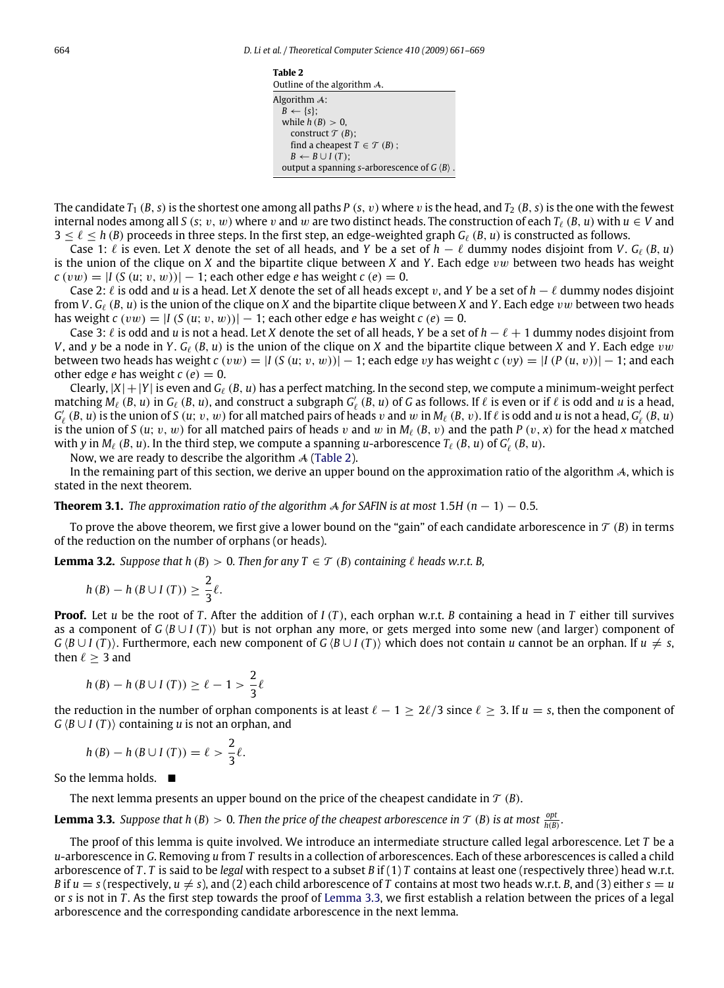<span id="page-3-0"></span>

| Table 2                                                     |
|-------------------------------------------------------------|
| Outline of the algorithm A.                                 |
| Algorithm A:                                                |
| $B \leftarrow \{s\};$                                       |
| while $h(B) > 0$ ,                                          |
| construct $\mathcal{T}(B)$ ;                                |
| find a cheapest $T \in \mathcal{T}(B)$ ;                    |
| $B \leftarrow B \cup I(T)$ ;                                |
| output a spanning s-arborescence of $G \langle B \rangle$ . |

The candidate  $T_1$  (*B*, *s*) is the shortest one among all paths *P* (*s*, *v*) where *v* is the head, and  $T_2$  (*B*, *s*) is the one with the fewest internal nodes among all *S* (*s*; *v*, *w*) where *v* and *w* are two distinct heads. The construction of each  $T_\ell$  (*B*, *u*) with  $u \in V$  and  $3 \leq \ell \leq h$  (*B*) proceeds in three steps. In the first step, an edge-weighted graph  $G_\ell$  (*B*, *u*) is constructed as follows.

Case 1:  $\ell$  is even. Let *X* denote the set of all heads, and *Y* be a set of  $h - \ell$  dummy nodes disjoint from *V*.  $G_{\ell}(B, u)$ is the union of the clique on *X* and the bipartite clique between *X* and *Y*. Each edge vw between two heads has weight  $c(vw) = |I(S(u; v, w))| - 1$ ; each other edge *e* has weight  $c(e) = 0$ .

Case 2:  $\ell$  is odd and *u* is a head. Let *X* denote the set of all heads except v, and *Y* be a set of  $h$  −  $\ell$  dummy nodes disjoint from *V*. *G*` (*B*, *u*) is the union of the clique on *X* and the bipartite clique between *X* and *Y*. Each edge vw between two heads has weight  $c(vw) = |I(S(u; v, w))| - 1$ ; each other edge *e* has weight  $c(e) = 0$ .

Case 3:  $\ell$  is odd and *u* is not a head. Let *X* denote the set of all heads, *Y* be a set of *h* −  $\ell$  + 1 dummy nodes disjoint from *V*, and *y* be a node in *Y*.  $G_{\ell}$  (*B*, *u*) is the union of the clique on *X* and the bipartite clique between *X* and *Y*. Each edge *vw* between two heads has weight  $c(vw) = |I(S(u; v, w))| - 1$ ; each edge vy has weight  $c(vy) = |I(P(u, v))| - 1$ ; and each other edge *e* has weight  $c(e) = 0$ .

Clearly,  $|X| + |Y|$  is even and  $G_\ell(B, u)$  has a perfect matching. In the second step, we compute a minimum-weight perfect matching  $M_\ell$  (*B*, *u*) in  $G_\ell$  (*B*, *u*), and construct a subgraph  $G'_\ell$  (*B*, *u*) of *G* as follows. If  $\ell$  is even or if  $\ell$  is odd and *u* is a head,  $G'_\ell$   $(B, u)$  is the union of *S*  $(u; v, w)$  for all matched pairs of heads v and w in  $M_\ell$   $(B, v)$ . If  $\ell$  is odd and *u* is not a head,  $G'_\ell$   $(B, u)$ is the union of *S* (*u*; *v*, *w*) for all matched pairs of heads *v* and *w* in  $M_\ell$  (*B*, *v*) and the path *P* (*v*, *x*) for the head *x* matched with *y* in  $M_\ell$  (*B*, *u*). In the third step, we compute a spanning *u*-arborescence  $T_\ell$  (*B*, *u*) of  $G'_\ell$  (*B*, *u*).

Now, we are ready to describe the algorithm  $\mathcal A$  [\(Table](#page-3-0) [2\)](#page-3-0).

In the remaining part of this section, we derive an upper bound on the approximation ratio of the algorithm  $\mathcal{A}$ , which is stated in the next theorem.

<span id="page-3-3"></span>**Theorem 3.1.** *The approximation ratio of the algorithm*  $\mathcal A$  *for SAFIN is at most* 1.5*H* ( $n - 1$ ) − 0.5*.* 

To prove the above theorem, we first give a lower bound on the "gain" of each candidate arborescence in  $\mathcal{T}(B)$  in terms of the reduction on the number of orphans (or heads).

<span id="page-3-4"></span>**Lemma 3.2.** *Suppose that h* (*B*) > 0. *Then for any*  $T \in \mathcal{T}$  (*B*) *containing*  $\ell$  *heads w.r.t. B,* 

$$
h(B) - h(B \cup I(T)) \geq \frac{2}{3}\ell.
$$

**Proof.** Let *u* be the root of *T* . After the addition of *I* (*T* ), each orphan w.r.t. *B* containing a head in *T* either till survives as a component of  $G$   $(B \cup I$   $(T)$  but is not orphan any more, or gets merged into some new (and larger) component of  $G \langle B \cup I(T) \rangle$ . Furthermore, each new component of  $G \langle B \cup I(T) \rangle$  which does not contain *u* cannot be an orphan. If  $u \neq s$ , then  $\ell \geq 3$  and

$$
h(B) - h(B \cup I(T)) \ge \ell - 1 > \frac{2}{3}\ell
$$

the reduction in the number of orphan components is at least  $\ell - 1 \ge 2\ell/3$  since  $\ell \ge 3$ . If  $u = s$ , then the component of  $G \langle B \cup I(T) \rangle$  containing *u* is not an orphan, and

$$
h(B) - h(B \cup I(T)) = \ell > \frac{2}{3}\ell.
$$

So the lemma holds.  $\blacksquare$ 

The next lemma presents an upper bound on the price of the cheapest candidate in  $\mathcal{T}(B)$ .

<span id="page-3-1"></span>**Lemma 3.3.** Suppose that h(B)  $> 0$ . Then the price of the cheapest arborescence in  $\mathcal{T}(B)$  is at most  $\frac{opt}{h(B)}$ .

<span id="page-3-2"></span>The proof of this lemma is quite involved. We introduce an intermediate structure called legal arborescence. Let *T* be a *u*-arborescence in *G*. Removing *u* from *T* results in a collection of arborescences. Each of these arborescences is called a child arborescence of *T* . *T* is said to be *legal* with respect to a subset *B* if (1) *T* contains at least one (respectively three) head w.r.t. *B* if  $u = s$  (respectively,  $u \neq s$ ), and (2) each child arborescence of *T* contains at most two heads w.r.t. *B*, and (3) either  $s = u$ or *s* is not in *T* . As the first step towards the proof of [Lemma](#page-3-1) [3.3,](#page-3-1) we first establish a relation between the prices of a legal arborescence and the corresponding candidate arborescence in the next lemma.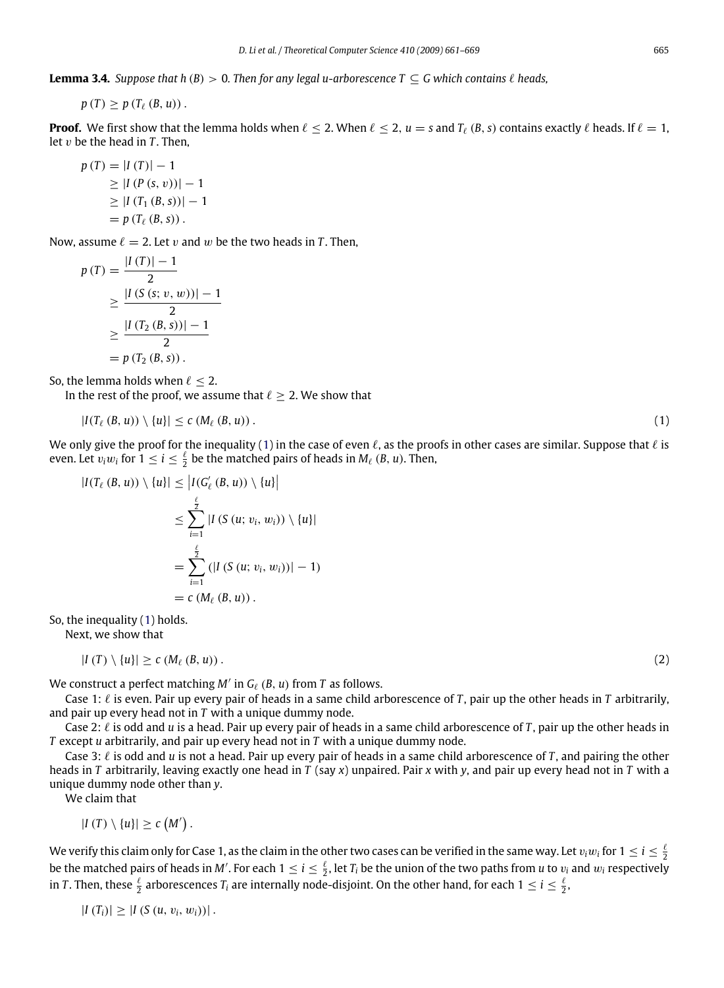**Lemma 3.4.** *Suppose that h* (*B*) > 0*. Then for any legal u-arborescence*  $T \subseteq G$  *which contains*  $\ell$  *heads,* 

 $p(T) > p(T_{\ell}(B, u))$ .

**Proof.** We first show that the lemma holds when  $\ell$  < 2. When  $\ell$  < 2,  $u = s$  and  $T_{\ell}$  (*B*, *s*) contains exactly  $\ell$  heads. If  $\ell = 1$ , let  $v$  be the head in  $T$ . Then,

$$
p(T) = |I(T)| - 1
$$
  
\n
$$
\geq |I(P(s, v))| - 1
$$
  
\n
$$
\geq |I(T_1(B, s))| - 1
$$
  
\n
$$
= p(T_{\ell}(B, s)).
$$

Now, assume  $\ell = 2$ . Let v and w be the two heads in T. Then,

$$
p(T) = \frac{|I(T)| - 1}{2}
$$
  
\n
$$
\geq \frac{|I(S(s; v, w))| - 1}{2}
$$
  
\n
$$
\geq \frac{|I(T_2(B, s))| - 1}{2}
$$
  
\n
$$
= p(T_2(B, s)).
$$

So, the lemma holds when  $\ell \leq 2$ .

In the rest of the proof, we assume that  $\ell \geq 2$ . We show that

<span id="page-4-0"></span>
$$
|I(T_{\ell}(B, u)) \setminus \{u\}| \leq c \left(M_{\ell}(B, u)\right). \tag{1}
$$

We only give the proof for the inequality [\(1\)](#page-4-0) in the case of even  $\ell$ , as the proofs in other cases are similar. Suppose that  $\ell$  is even. Let  $v_i w_i$  for  $1 \le i \le \frac{\ell}{2}$  be the matched pairs of heads in  $M_\ell$  (*B*, *u*). Then,

$$
|I(T_{\ell}(B, u)) \setminus \{u\}| \le |I(G'_{\ell}(B, u)) \setminus \{u\}|
$$
  
\n
$$
\le \sum_{i=1}^{\frac{\ell}{2}} |I(S(u; v_i, w_i)) \setminus \{u\}|
$$
  
\n
$$
= \sum_{i=1}^{\frac{\ell}{2}} (|I(S(u; v_i, w_i))| - 1)
$$
  
\n
$$
= c (M_{\ell}(B, u)).
$$

So, the inequality [\(1\)](#page-4-0) holds.

Next, we show that

<span id="page-4-1"></span>
$$
|I(T)\setminus\{u\}|\geq c(M_{\ell}(B,u))\,.
$$

We construct a perfect matching  $M'$  in  $G_{\ell}$  ( $B$ ,  $u$ ) from  $T$  as follows.

Case 1:  $\ell$  is even. Pair up every pair of heads in a same child arborescence of *T*, pair up the other heads in *T* arbitrarily, and pair up every head not in *T* with a unique dummy node.

Case 2:  $\ell$  is odd and *u* is a head. Pair up every pair of heads in a same child arborescence of *T*, pair up the other heads in *T* except *u* arbitrarily, and pair up every head not in *T* with a unique dummy node.

Case 3:  $\ell$  is odd and *u* is not a head. Pair up every pair of heads in a same child arborescence of *T*, and pairing the other heads in *T* arbitrarily, leaving exactly one head in *T* (say *x*) unpaired. Pair *x* with *y*, and pair up every head not in *T* with a unique dummy node other than *y*.

We claim that

$$
|I(T)\setminus\{u\}|\geq c(M').
$$

We verify this claim only for Case 1, as the claim in the other two cases can be verified in the same way. Let  $v_iw_i$  for  $1\leq i\leq \frac{\ell}{2}$ be the matched pairs of heads in M'. For each  $1 \le i \le \frac{\ell}{2}$ , let  $T_i$  be the union of the two paths from *u* to  $v_i$  and  $w_i$  respectively in *T* . Then, these  $\frac{\ell}{2}$  arborescences  $T_i$  are internally node-disjoint. On the other hand, for each  $1 \leq i \leq \frac{\ell}{2}$ ,

$$
|I(T_i)| \geq |I(S(u, v_i, w_i))|.
$$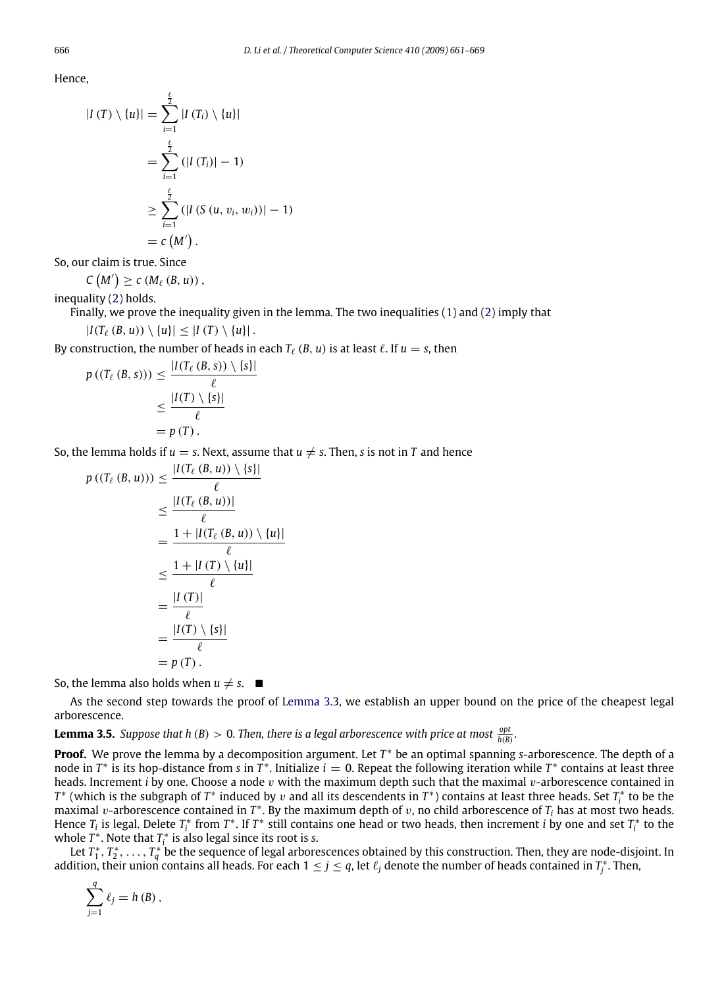Hence,

$$
|I(T) \setminus \{u\}| = \sum_{i=1}^{\frac{\ell}{2}} |I(T_i) \setminus \{u\}|
$$
  
= 
$$
\sum_{i=1}^{\frac{\ell}{2}} (|I(T_i)| - 1)
$$
  

$$
\geq \sum_{i=1}^{\frac{\ell}{2}} (|I(S(u, v_i, w_i))| - 1)
$$
  
= 
$$
c(M').
$$

So, our claim is true. Since

$$
C\left(M'\right)\geq c\left(M_{\ell}\left(B,u\right)\right),\,
$$

inequality [\(2\)](#page-4-1) holds.

Finally, we prove the inequality given in the lemma. The two inequalities [\(1\)](#page-4-0) and [\(2\)](#page-4-1) imply that  $|I(T_\ell (B, u)) \setminus \{u\}| \leq |I(T) \setminus \{u\}|$ .

By construction, the number of heads in each  $T_\ell$  (*B*, *u*) is at least  $\ell$ . If  $u = s$ , then

$$
p((T_{\ell}(B, s))) \leq \frac{|I(T_{\ell}(B, s)) \setminus \{s\}|}{\ell}
$$
  

$$
\leq \frac{|I(T) \setminus \{s\}|}{\ell}
$$
  

$$
= p(T).
$$

So, the lemma holds if  $u = s$ . Next, assume that  $u \neq s$ . Then, *s* is not in *T* and hence

$$
p((T_{\ell}(B, u))) \leq \frac{|I(T_{\ell}(B, u)) \setminus \{s\}|}{\ell}
$$
  
\n
$$
\leq \frac{|I(T_{\ell}(B, u))|}{\ell}
$$
  
\n
$$
= \frac{1 + |I(T_{\ell}(B, u)) \setminus \{u\}|}{\ell}
$$
  
\n
$$
\leq \frac{1 + |I(T) \setminus \{u\}|}{\ell}
$$
  
\n
$$
= \frac{|I(T)|}{\ell}
$$
  
\n
$$
= p(T).
$$

So, the lemma also holds when  $u \neq s$ .

As the second step towards the proof of [Lemma](#page-3-1) [3.3,](#page-3-1) we establish an upper bound on the price of the cheapest legal arborescence.

<span id="page-5-0"></span>**Lemma 3.5.** *Suppose that h* (*B*)  $> 0$ *. Then, there is a legal arborescence with price at most*  $\frac{\text{opt}}{h(B)}$ *.* 

**Proof.** We prove the lemma by a decomposition argument. Let *T* <sup>∗</sup> be an optimal spanning *s*-arborescence. The depth of a node in  $T^*$  is its hop-distance from *s* in  $\tilde{T}^*$ . Initialize  $i = 0$ . Repeat the following iteration while  $T^*$  contains at least three heads. Increment *i* by one. Choose a node v with the maximum depth such that the maximal v-arborescence contained in *T*<sup>\*</sup> (which is the subgraph of *T*<sup>\*</sup> induced by *v* and all its descendents in *T*<sup>\*</sup>) contains at least three heads. Set *T*<sub>i</sub><sup>\*</sup> to be the maximal v-arborescence contained in  $T^*$ . By the maximum depth of v, no child arborescence of  $T_i$  has at most two heads. Hence  $T_i$  is legal. Delete  $T_i^*$  from  $T^*$ . If  $T^*$  still contains one head or two heads, then increment *i* by one and set  $T_i^*$  to the whole  $T^*$ . Note that  $T_i^*$  is also legal since its root is *s*.

*i i*  $T^*_1, T^*_2, \ldots, T^*_q$  be the sequence of legal arborescences obtained by this construction. Then, they are node-disjoint. In the sequence of legal arborescences obtained by this construction. Then, they are node-dis addition, their union contains all heads. For each  $1\leq j\leq q$ , let  $\ell_j$  denote the number of heads contained in  $T^*_j$ . Then,

$$
\sum_{j=1}^{q} \ell_j = h (B) ,
$$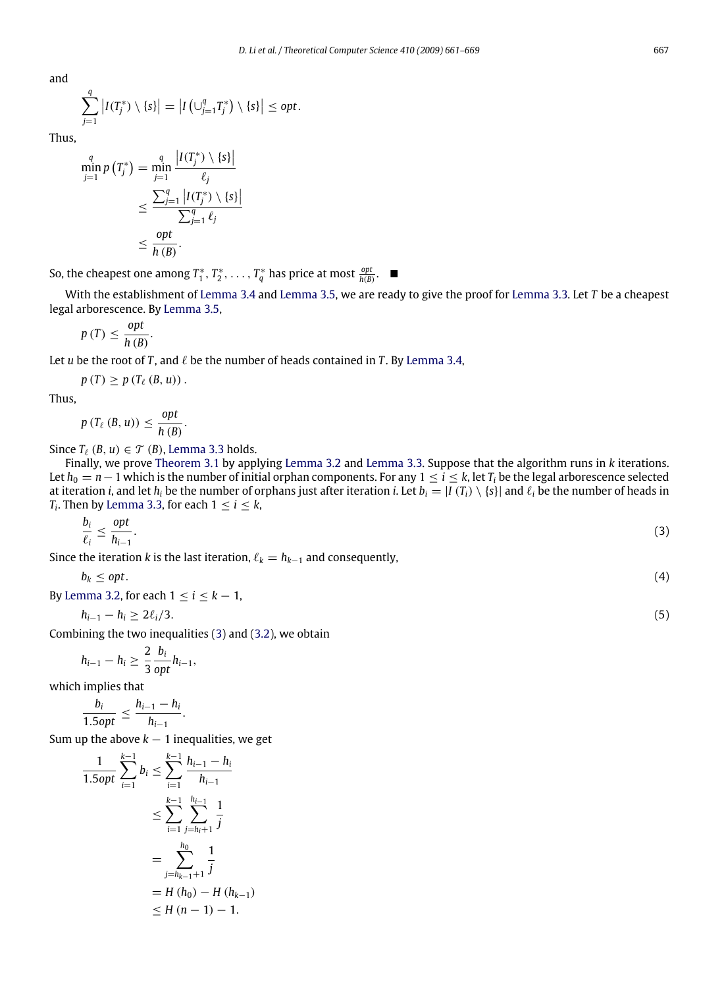and

$$
\sum_{j=1}^q \left| I(T_j^*) \setminus \{s\} \right| = \left| I\left(\bigcup_{j=1}^q T_j^*\right) \setminus \{s\} \right| \le opt.
$$

Thus,

$$
\min_{j=1}^{q} p(T_j^*) = \min_{j=1}^{q} \frac{|I(T_j^*) \setminus \{s\}|}{\ell_j}
$$

$$
\leq \frac{\sum_{j=1}^{q} |I(T_j^*) \setminus \{s\}|}{\sum_{j=1}^{q} \ell_j}
$$

$$
\leq \frac{\text{opt}}{h(B)}.
$$

So, the cheapest one among  $T_1^*, T_2^*, \ldots, T_q^*$  has price at most  $\frac{opt}{h(B)}$ . ■

With the establishment of [Lemma](#page-3-2) [3.4](#page-3-2) and [Lemma](#page-5-0) [3.5,](#page-5-0) we are ready to give the proof for [Lemma](#page-3-1) [3.3.](#page-3-1) Let *T* be a cheapest legal arborescence. By [Lemma](#page-5-0) [3.5,](#page-5-0)

$$
p(T) \leq \frac{opt}{h(B)}.
$$

Let *u* be the root of *T*, and  $\ell$  be the number of heads contained in *T*. By [Lemma](#page-3-2) [3.4,](#page-3-2)

$$
p(T) \geq p(T_{\ell}(B, u)) .
$$

Thus,

$$
p(T_{\ell}(B, u)) \leq \frac{opt}{h(B)}
$$

Since  $T_{\ell}$  (*B*, *u*)  $\in \mathcal{T}$  (*B*), [Lemma](#page-3-1) [3.3](#page-3-1) holds.

.

Finally, we prove [Theorem](#page-3-3) [3.1](#page-3-3) by applying [Lemma](#page-3-4) [3.2](#page-3-4) and [Lemma](#page-3-1) [3.3.](#page-3-1) Suppose that the algorithm runs in *k* iterations. Let  $h_0 = n - 1$  which is the number of initial orphan components. For any  $1 \le i \le k$ , let  $T_i$  be the legal arborescence selected at iteration *i*, and let  $h_i$  be the number of orphans just after iteration *i*. Let  $b_i = |I(T_i) \setminus \{s\}|$  and  $\ell_i$  be the number of heads in  $T_i$ . Then by [Lemma](#page-3-1) [3.3,](#page-3-1) for each  $1 \leq i \leq k$ ,

<span id="page-6-0"></span>
$$
\frac{b_i}{\ell_i} \le \frac{opt}{h_{i-1}}.\tag{3}
$$

Since the iteration *k* is the last iteration,  $\ell_k = h_{k-1}$  and consequently,

<span id="page-6-1"></span>
$$
b_k \leq opt. \tag{4}
$$

By [Lemma](#page-3-4) [3.2,](#page-3-4) for each  $1 \le i \le k - 1$ ,

$$
h_{i-1}-h_i\geq 2\ell_i/3.\tag{5}
$$

Combining the two inequalities [\(3\)](#page-6-0) and [\(3.2\)](#page-3-4), we obtain

$$
h_{i-1}-h_i\geq \frac{2}{3}\frac{b_i}{opt}h_{i-1},
$$

which implies that

$$
\frac{b_i}{1.5opt} \leq \frac{h_{i-1} - h_i}{h_{i-1}}.
$$

Sum up the above  $k - 1$  inequalities, we get

$$
\frac{1}{1.5opt} \sum_{i=1}^{k-1} b_i \le \sum_{i=1}^{k-1} \frac{h_{i-1} - h_i}{h_{i-1}}
$$
  

$$
\le \sum_{i=1}^{k-1} \sum_{j=h_i+1}^{h_{i-1}} \frac{1}{j}
$$
  

$$
= \sum_{j=h_{k-1}+1}^{h_0} \frac{1}{j}
$$
  

$$
= H(h_0) - H(h_{k-1})
$$
  

$$
\le H(n-1) - 1.
$$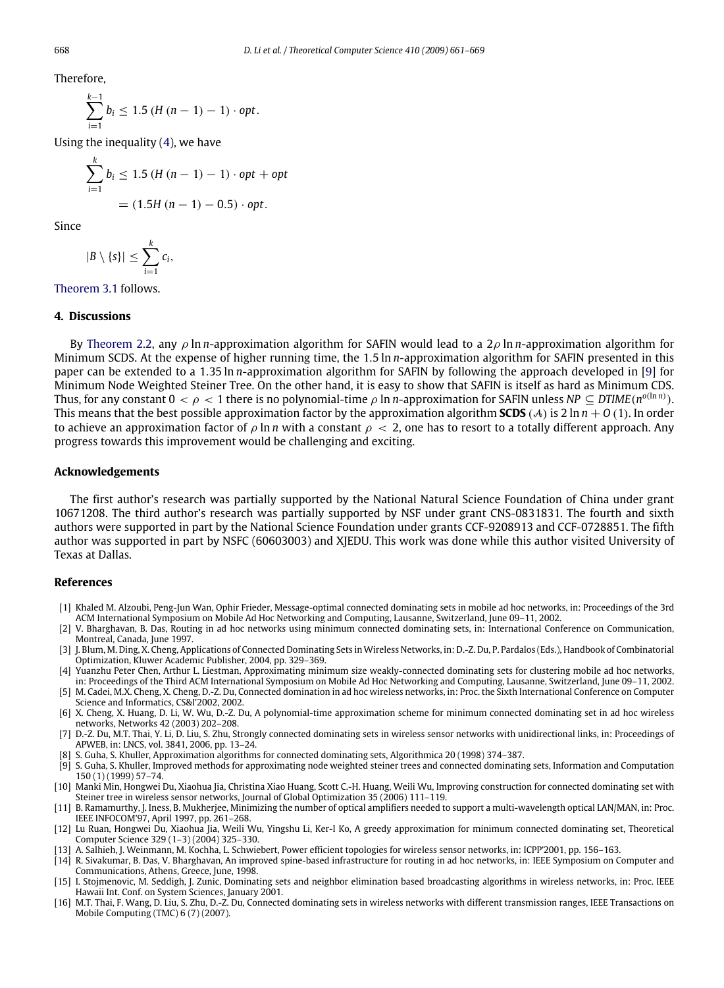Therefore,

*k*−1

$$
\sum_{i=1}^{k-1} b_i \leq 1.5 \left( H\left( n-1\right) - 1 \right) \cdot opt.
$$

Using the inequality  $(4)$ , we have

$$
\sum_{i=1}^{k} b_i \le 1.5 (H (n - 1) - 1) \cdot opt + opt
$$
  
= (1.5H (n - 1) - 0.5) \cdot opt.

Since

$$
|B\setminus\{s\}|\leq \sum_{i=1}^k c_i,
$$

[Theorem](#page-3-3) [3.1](#page-3-3) follows.

# **4. Discussions**

By [Theorem](#page-1-1) [2.2,](#page-1-1) any ρ ln *n*-approximation algorithm for SAFIN would lead to a 2ρ ln *n*-approximation algorithm for Minimum SCDS. At the expense of higher running time, the 1.5 ln *n*-approximation algorithm for SAFIN presented in this paper can be extended to a 1.35 ln *n*-approximation algorithm for SAFIN by following the approach developed in [\[9\]](#page-7-14) for Minimum Node Weighted Steiner Tree. On the other hand, it is easy to show that SAFIN is itself as hard as Minimum CDS. Thus, for any constant 0  $<\rho< 1$  there is no polynomial-time  $\rho$  ln *n*-approximation for SAFIN unless NP  $\subseteq$  DTIME(n<sup>o(ln n)</sup>). This means that the best possible approximation factor by the approximation algorithm **SCDS** (A) is 2 ln  $n + O(1)$ . In order to achieve an approximation factor of  $\rho \ln n$  with a constant  $\rho < 2$ , one has to resort to a totally different approach. Any progress towards this improvement would be challenging and exciting.

#### **Acknowledgements**

The first author's research was partially supported by the National Natural Science Foundation of China under grant 10671208. The third author's research was partially supported by NSF under grant CNS-0831831. The fourth and sixth authors were supported in part by the National Science Foundation under grants CCF-9208913 and CCF-0728851. The fifth author was supported in part by NSFC (60603003) and XJEDU. This work was done while this author visited University of Texas at Dallas.

# **References**

- <span id="page-7-9"></span>[1] Khaled M. Alzoubi, Peng-Jun Wan, Ophir Frieder, Message-optimal connected dominating sets in mobile ad hoc networks, in: Proceedings of the 3rd ACM International Symposium on Mobile Ad Hoc Networking and Computing, Lausanne, Switzerland, June 09–11, 2002.
- <span id="page-7-1"></span>[2] V. Bharghavan, B. Das, Routing in ad hoc networks using minimum connected dominating sets, in: International Conference on Communication, Montreal, Canada, June 1997.
- <span id="page-7-0"></span>[3] J. Blum, M. Ding, X. Cheng, Applications of Connected Dominating Sets in Wireless Networks, in: D.-Z. Du, P. Pardalos (Eds.), Handbook of Combinatorial Optimization, Kluwer Academic Publisher, 2004, pp. 329–369.
- <span id="page-7-2"></span>[4] Yuanzhu Peter Chen, Arthur L. Liestman, Approximating minimum size weakly-connected dominating sets for clustering mobile ad hoc networks, in: Proceedings of the Third ACM International Symposium on Mobile Ad Hoc Networking and Computing, Lausanne, Switzerland, June 09–11, 2002.
- <span id="page-7-10"></span>[5] M. Cadei, M.X. Cheng, X. Cheng, D.-Z. Du, Connected domination in ad hoc wireless networks, in: Proc. the Sixth International Conference on Computer Science and Informatics, CS&I'2002, 2002.
- <span id="page-7-8"></span>[6] X. Cheng, X. Huang, D. Li, W. Wu, D.-Z. Du, A polynomial-time approximation scheme for minimum connected dominating set in ad hoc wireless networks, Networks 42 (2003) 202–208.
- <span id="page-7-13"></span>[7] D.-Z. Du, M.T. Thai, Y. Li, D. Liu, S. Zhu, Strongly connected dominating sets in wireless sensor networks with unidirectional links, in: Proceedings of APWEB, in: LNCS, vol. 3841, 2006, pp. 13–24.
- <span id="page-7-6"></span>[8] S. Guha, S. Khuller, Approximation algorithms for connected dominating sets, Algorithmica 20 (1998) 374–387.
- <span id="page-7-14"></span>[9] S. Guha, S. Khuller, Improved methods for approximating node weighted steiner trees and connected dominating sets, Information and Computation 150 (1) (1999) 57–74.
- <span id="page-7-11"></span>[10] Manki Min, Hongwei Du, Xiaohua Jia, Christina Xiao Huang, Scott C.-H. Huang, Weili Wu, Improving construction for connected dominating set with Steiner tree in wireless sensor networks, Journal of Global Optimization 35 (2006) 111–119.
- <span id="page-7-3"></span>[11] B. Ramamurthy, J. Iness, B. Mukherjee, Minimizing the number of optical amplifiers needed to support a multi-wavelength optical LAN/MAN, in: Proc. IEEE INFOCOM'97, April 1997, pp. 261–268.
- <span id="page-7-7"></span>[12] Lu Ruan, Hongwei Du, Xiaohua Jia, Weili Wu, Yingshu Li, Ker-I Ko, A greedy approximation for minimum connected dominating set, Theoretical Computer Science 329 (1–3) (2004) 325–330.
- <span id="page-7-4"></span>[13] A. Salhieh, J. Weinmann, M. Kochha, L. Schwiebert, Power efficient topologies for wireless sensor networks, in: ICPP'2001, pp. 156–163.
- [14] R. Sivakumar, B. Das, V. Bharghavan, An improved spine-based infrastructure for routing in ad hoc networks, in: IEEE Symposium on Computer and Communications, Athens, Greece, June, 1998.
- <span id="page-7-5"></span>[15] I. Stojmenovic, M. Seddigh, J. Zunic, Dominating sets and neighbor elimination based broadcasting algorithms in wireless networks, in: Proc. IEEE Hawaii Int. Conf. on System Sciences, January 2001.
- <span id="page-7-12"></span>[16] M.T. Thai, F. Wang, D. Liu, S. Zhu, D.-Z. Du, Connected dominating sets in wireless networks with different transmission ranges, IEEE Transactions on Mobile Computing (TMC) 6 (7) (2007).